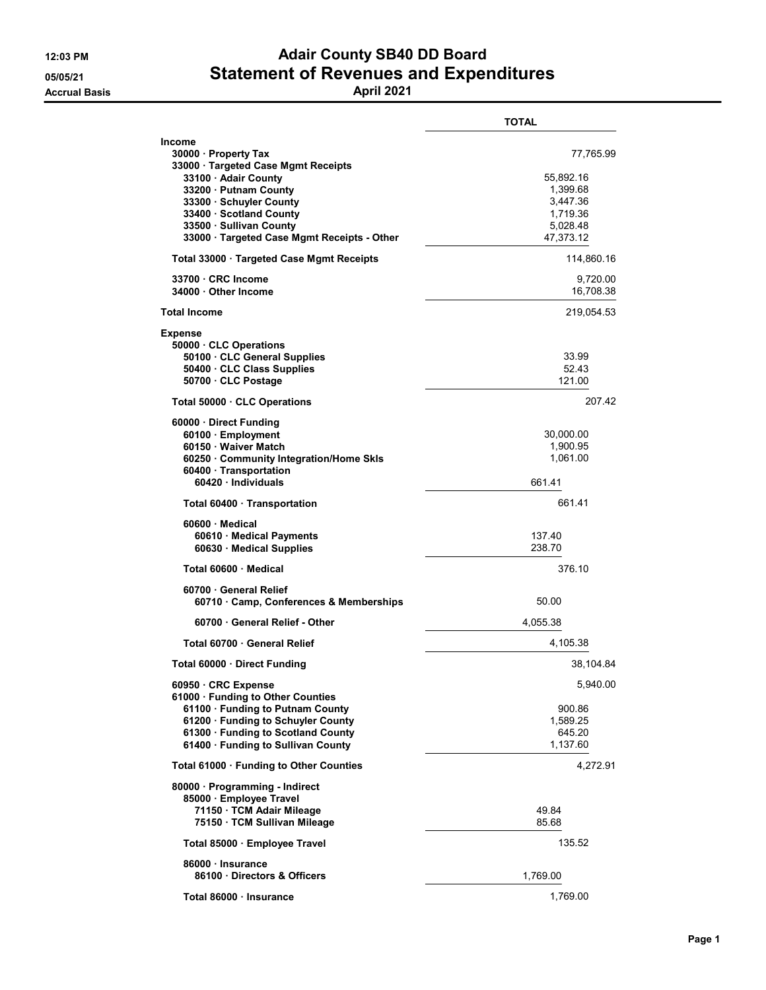## 12:03 PM **Adair County SB40 DD Board** 05/05/21 Statement of Revenues and Expenditures

Accrual Basis April 2021

|                                                                                                                                                                                                                                                             | <b>TOTAL</b>                                                                        |
|-------------------------------------------------------------------------------------------------------------------------------------------------------------------------------------------------------------------------------------------------------------|-------------------------------------------------------------------------------------|
| <b>Income</b><br>30000 · Property Tax<br>33000 Targeted Case Mgmt Receipts<br>33100 · Adair County<br>33200 · Putnam County<br>33300 · Schuyler County<br>33400 · Scotland County<br>33500 · Sullivan County<br>33000 · Targeted Case Mgmt Receipts - Other | 77,765.99<br>55,892.16<br>1,399.68<br>3,447.36<br>1,719.36<br>5,028.48<br>47,373.12 |
| Total 33000 · Targeted Case Mgmt Receipts                                                                                                                                                                                                                   | 114,860.16                                                                          |
| 33700 CRC Income<br>34000 Other Income                                                                                                                                                                                                                      | 9,720.00<br>16,708.38                                                               |
| <b>Total Income</b>                                                                                                                                                                                                                                         | 219,054.53                                                                          |
| <b>Expense</b><br>50000 CLC Operations<br>50100 · CLC General Supplies<br>50400 · CLC Class Supplies<br>50700 CLC Postage                                                                                                                                   | 33.99<br>52.43<br>121.00                                                            |
| Total 50000 CLC Operations                                                                                                                                                                                                                                  | 207.42                                                                              |
| 60000 · Direct Funding<br>60100 · Employment<br>60150 · Waiver Match<br>60250 · Community Integration/Home Skls<br>60400 · Transportation<br>60420 · Individuals                                                                                            | 30,000.00<br>1.900.95<br>1,061.00<br>661.41                                         |
| Total 60400 · Transportation                                                                                                                                                                                                                                | 661.41                                                                              |
| 60600 Medical<br>60610 · Medical Payments<br>60630 · Medical Supplies                                                                                                                                                                                       | 137.40<br>238.70                                                                    |
| Total 60600 Medical                                                                                                                                                                                                                                         | 376.10                                                                              |
| 60700 General Relief<br>60710 Camp, Conferences & Memberships                                                                                                                                                                                               | 50.00                                                                               |
| 60700 · General Relief - Other                                                                                                                                                                                                                              | 4,055.38                                                                            |
| Total 60700 General Relief                                                                                                                                                                                                                                  | 4,105.38                                                                            |
| Total 60000 Direct Funding                                                                                                                                                                                                                                  | 38,104.84                                                                           |
| 60950 · CRC Expense<br>61000 · Funding to Other Counties<br>61100 · Funding to Putnam County<br>61200 · Funding to Schuyler County<br>61300 · Funding to Scotland County<br>61400 · Funding to Sullivan County                                              | 5,940.00<br>900.86<br>1,589.25<br>645.20<br>1,137.60                                |
| Total 61000 · Funding to Other Counties                                                                                                                                                                                                                     | 4,272.91                                                                            |
| 80000 · Programming - Indirect<br>85000 · Employee Travel<br>71150 · TCM Adair Mileage<br>75150 · TCM Sullivan Mileage                                                                                                                                      | 49.84<br>85.68                                                                      |
| Total 85000 · Employee Travel                                                                                                                                                                                                                               | 135.52                                                                              |
| 86000 · Insurance<br>86100 · Directors & Officers                                                                                                                                                                                                           | 1,769.00                                                                            |
| Total 86000 · Insurance                                                                                                                                                                                                                                     | 1,769.00                                                                            |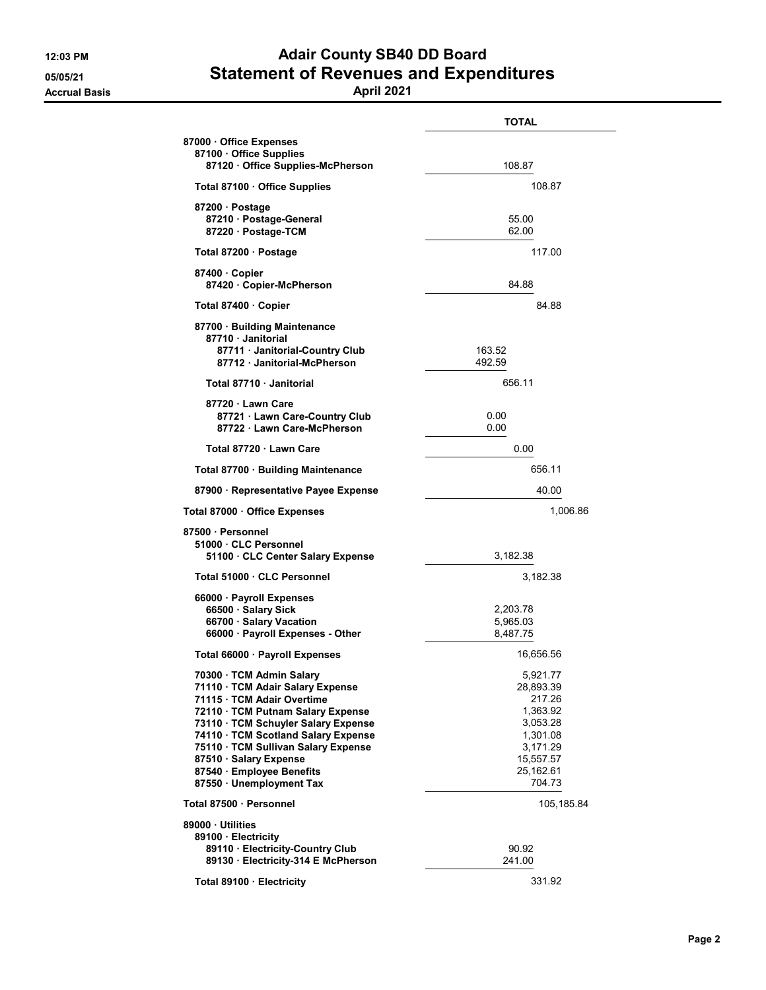Accrual Basis April 2021

## 12:03 PM **Adair County SB40 DD Board** 05/05/21 Statement of Revenues and Expenditures

|                                                                                                                                                                                                                                                                                                                                         | <b>TOTAL</b>                                                                                                        |
|-----------------------------------------------------------------------------------------------------------------------------------------------------------------------------------------------------------------------------------------------------------------------------------------------------------------------------------------|---------------------------------------------------------------------------------------------------------------------|
| 87000 · Office Expenses<br>87100 Office Supplies<br>87120 Office Supplies-McPherson                                                                                                                                                                                                                                                     | 108.87                                                                                                              |
| Total 87100 · Office Supplies                                                                                                                                                                                                                                                                                                           | 108.87                                                                                                              |
| 87200 · Postage<br>87210 · Postage-General<br>87220 · Postage-TCM                                                                                                                                                                                                                                                                       | 55.00<br>62.00                                                                                                      |
| Total 87200 · Postage                                                                                                                                                                                                                                                                                                                   | 117.00                                                                                                              |
| 87400 Copier<br>87420 · Copier-McPherson                                                                                                                                                                                                                                                                                                | 84.88                                                                                                               |
| Total 87400 · Copier                                                                                                                                                                                                                                                                                                                    | 84.88                                                                                                               |
| 87700 · Building Maintenance<br>87710 Janitorial                                                                                                                                                                                                                                                                                        |                                                                                                                     |
| 87711 · Janitorial-Country Club<br>87712 Janitorial-McPherson                                                                                                                                                                                                                                                                           | 163.52<br>492.59                                                                                                    |
| Total 87710 Janitorial                                                                                                                                                                                                                                                                                                                  | 656.11                                                                                                              |
| 87720 · Lawn Care<br>87721 · Lawn Care-Country Club<br>87722 · Lawn Care-McPherson                                                                                                                                                                                                                                                      | 0.00<br>0.00                                                                                                        |
| Total 87720 · Lawn Care                                                                                                                                                                                                                                                                                                                 | 0.00                                                                                                                |
| Total 87700 · Building Maintenance                                                                                                                                                                                                                                                                                                      | 656.11                                                                                                              |
| 87900 · Representative Payee Expense                                                                                                                                                                                                                                                                                                    | 40.00                                                                                                               |
| Total 87000 · Office Expenses                                                                                                                                                                                                                                                                                                           | 1,006.86                                                                                                            |
| 87500 · Personnel<br>51000 CLC Personnel<br>51100 CLC Center Salary Expense                                                                                                                                                                                                                                                             | 3,182.38                                                                                                            |
| Total 51000 · CLC Personnel                                                                                                                                                                                                                                                                                                             | 3,182.38                                                                                                            |
| 66000 · Payroll Expenses<br>66500 · Salary Sick<br>66700 · Salary Vacation<br>66000 · Payroll Expenses - Other                                                                                                                                                                                                                          | 2,203.78<br>5,965.03<br>8,487.75                                                                                    |
| Total 66000 · Payroll Expenses                                                                                                                                                                                                                                                                                                          | 16,656.56                                                                                                           |
| 70300 · TCM Admin Salary<br>71110 · TCM Adair Salary Expense<br>71115 · TCM Adair Overtime<br>72110 · TCM Putnam Salary Expense<br>73110 · TCM Schuyler Salary Expense<br>74110 · TCM Scotland Salary Expense<br>75110 · TCM Sullivan Salary Expense<br>87510 · Salary Expense<br>87540 · Employee Benefits<br>87550 · Unemployment Tax | 5,921.77<br>28,893.39<br>217.26<br>1,363.92<br>3,053.28<br>1,301.08<br>3,171.29<br>15.557.57<br>25,162.61<br>704.73 |
| Total 87500 · Personnel                                                                                                                                                                                                                                                                                                                 | 105,185.84                                                                                                          |
| 89000 · Utilities<br>89100 · Electricity<br>89110 · Electricity-Country Club                                                                                                                                                                                                                                                            | 90.92                                                                                                               |
| 89130 · Electricity-314 E McPherson                                                                                                                                                                                                                                                                                                     | 241.00                                                                                                              |
| Total 89100 · Electricity                                                                                                                                                                                                                                                                                                               | 331.92                                                                                                              |